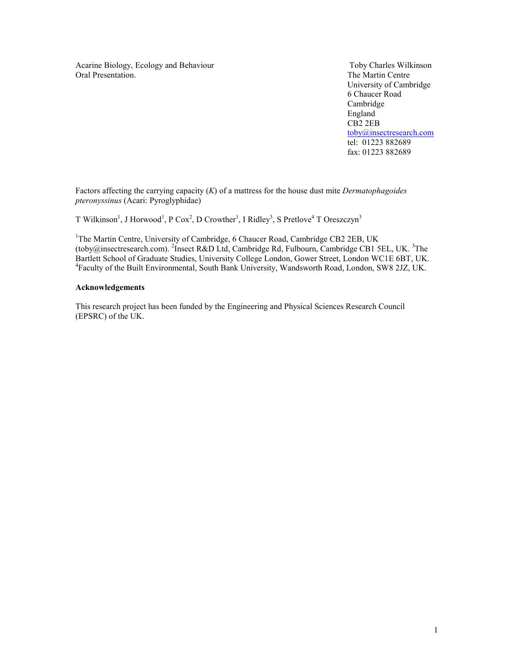Acarine Biology, Ecology and Behaviour Toby Charles Wilkinson<br>
Oral Presentation. The Martin Centre

The Martin Centre University of Cambridge 6 Chaucer Road Cambridge England and the England CB2 2EB toby@insectresearch.com tel: 01223 882689 fax: 01223 882689

Factors affecting the carrying capacity  $(K)$  of a mattress for the house dust mite *Dermatophagoides* pteronyssinus (Acari: Pyroglyphidae)

T Wilkinson<sup>1</sup>, J Horwood<sup>1</sup>, P Cox<sup>2</sup>, D Crowther<sup>1</sup>, I Ridley<sup>3</sup>, S Pretlove<sup>4</sup> T Oreszczyn<sup>3</sup>

<sup>1</sup>The Martin Centre, University of Cambridge, 6 Chaucer Road, Cambridge CB2 2EB, UK (toby@insectresearch.com). <sup>2</sup>Insect R&D Ltd, Cambridge Rd, Fulbourn, Cambridge CB1 5EL, UK. <sup>3</sup>The Bartlett School of Graduate Studies, University College London, Gower Street, London WC1E 6BT, UK. 4 Faculty of the Built Environmental, South Bank University, Wandsworth Road, London, SW8 2JZ, UK.

### Acknowledgements

This research project has been funded by the Engineering and Physical Sciences Research Council (EPSRC) of the UK.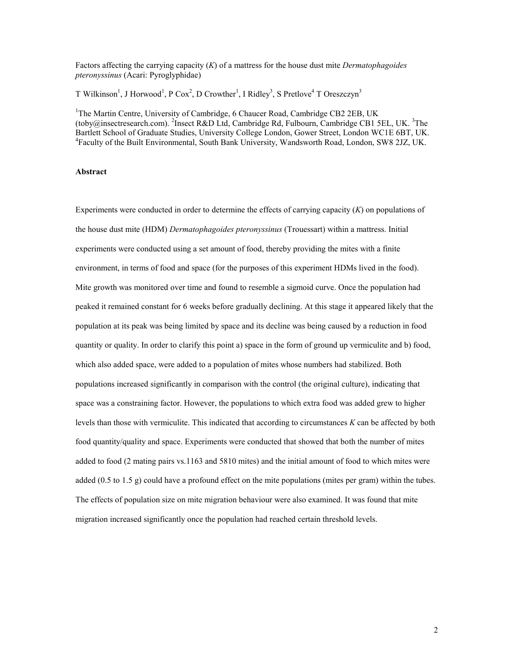Factors affecting the carrying capacity  $(K)$  of a mattress for the house dust mite *Dermatophagoides* pteronyssinus (Acari: Pyroglyphidae)

T Wilkinson<sup>1</sup>, J Horwood<sup>1</sup>, P Cox<sup>2</sup>, D Crowther<sup>1</sup>, I Ridley<sup>3</sup>, S Pretlove<sup>4</sup> T Oreszczyn<sup>3</sup>

<sup>1</sup>The Martin Centre, University of Cambridge, 6 Chaucer Road, Cambridge CB2 2EB, UK (toby@insectresearch.com). <sup>2</sup>Insect R&D Ltd, Cambridge Rd, Fulbourn, Cambridge CB1 5EL, UK. <sup>3</sup>The Bartlett School of Graduate Studies, University College London, Gower Street, London WC1E 6BT, UK. 4 Faculty of the Built Environmental, South Bank University, Wandsworth Road, London, SW8 2JZ, UK.

## Abstract

Experiments were conducted in order to determine the effects of carrying capacity  $(K)$  on populations of the house dust mite (HDM) *Dermatophagoides pteronyssinus* (Trouessart) within a mattress. Initial experiments were conducted using a set amount of food, thereby providing the mites with a finite environment, in terms of food and space (for the purposes of this experiment HDMs lived in the food). Mite growth was monitored over time and found to resemble a sigmoid curve. Once the population had peaked it remained constant for 6 weeks before gradually declining. At this stage it appeared likely that the population at its peak was being limited by space and its decline was being caused by a reduction in food quantity or quality. In order to clarify this point a) space in the form of ground up vermiculite and b) food, which also added space, were added to a population of mites whose numbers had stabilized. Both populations increased significantly in comparison with the control (the original culture), indicating that space was a constraining factor. However, the populations to which extra food was added grew to higher levels than those with vermiculite. This indicated that according to circumstances K can be affected by both food quantity/quality and space. Experiments were conducted that showed that both the number of mites added to food (2 mating pairs vs.1163 and 5810 mites) and the initial amount of food to which mites were added (0.5 to 1.5 g) could have a profound effect on the mite populations (mites per gram) within the tubes. The effects of population size on mite migration behaviour were also examined. It was found that mite migration increased significantly once the population had reached certain threshold levels.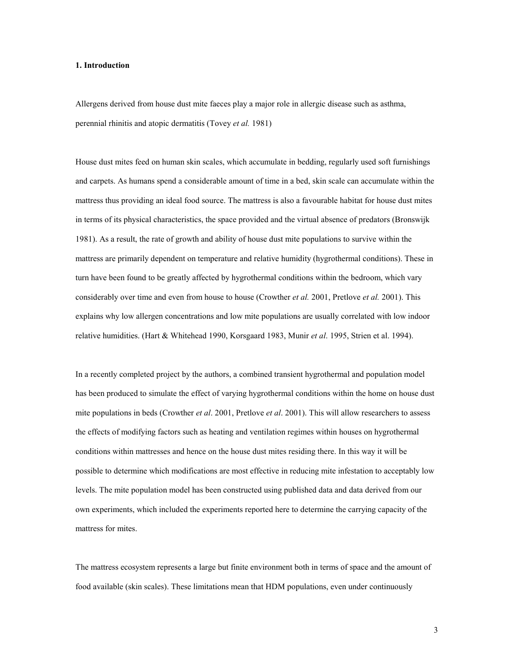# 1. Introduction

Allergens derived from house dust mite faeces play a major role in allergic disease such as asthma, perennial rhinitis and atopic dermatitis (Tovey et al. 1981)

House dust mites feed on human skin scales, which accumulate in bedding, regularly used soft furnishings and carpets. As humans spend a considerable amount of time in a bed, skin scale can accumulate within the mattress thus providing an ideal food source. The mattress is also a favourable habitat for house dust mites in terms of its physical characteristics, the space provided and the virtual absence of predators (Bronswijk 1981). As a result, the rate of growth and ability of house dust mite populations to survive within the mattress are primarily dependent on temperature and relative humidity (hygrothermal conditions). These in turn have been found to be greatly affected by hygrothermal conditions within the bedroom, which vary considerably over time and even from house to house (Crowther *et al.* 2001, Pretlove *et al.* 2001). This explains why low allergen concentrations and low mite populations are usually correlated with low indoor relative humidities. (Hart & Whitehead 1990, Korsgaard 1983, Munir et al. 1995, Strien et al. 1994).

In a recently completed project by the authors, a combined transient hygrothermal and population model has been produced to simulate the effect of varying hygrothermal conditions within the home on house dust mite populations in beds (Crowther et al. 2001, Pretlove et al. 2001). This will allow researchers to assess the effects of modifying factors such as heating and ventilation regimes within houses on hygrothermal conditions within mattresses and hence on the house dust mites residing there. In this way it will be possible to determine which modifications are most effective in reducing mite infestation to acceptably low levels. The mite population model has been constructed using published data and data derived from our own experiments, which included the experiments reported here to determine the carrying capacity of the mattress for mites.

The mattress ecosystem represents a large but finite environment both in terms of space and the amount of food available (skin scales). These limitations mean that HDM populations, even under continuously

3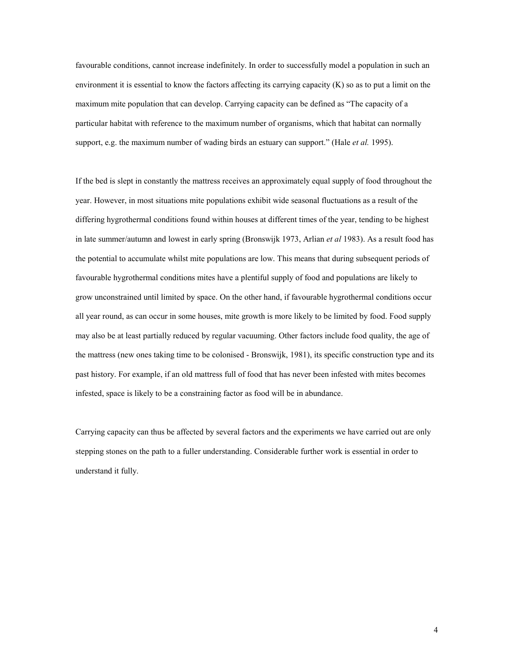favourable conditions, cannot increase indefinitely. In order to successfully model a population in such an environment it is essential to know the factors affecting its carrying capacity  $(K)$  so as to put a limit on the maximum mite population that can develop. Carrying capacity can be defined as "The capacity of a particular habitat with reference to the maximum number of organisms, which that habitat can normally support, e.g. the maximum number of wading birds an estuary can support." (Hale et al. 1995).

If the bed is slept in constantly the mattress receives an approximately equal supply of food throughout the year. However, in most situations mite populations exhibit wide seasonal fluctuations as a result of the differing hygrothermal conditions found within houses at different times of the year, tending to be highest in late summer/autumn and lowest in early spring (Bronswijk 1973, Arlian *et al* 1983). As a result food has the potential to accumulate whilst mite populations are low. This means that during subsequent periods of favourable hygrothermal conditions mites have a plentiful supply of food and populations are likely to grow unconstrained until limited by space. On the other hand, if favourable hygrothermal conditions occur all year round, as can occur in some houses, mite growth is more likely to be limited by food. Food supply may also be at least partially reduced by regular vacuuming. Other factors include food quality, the age of the mattress (new ones taking time to be colonised - Bronswijk, 1981), its specific construction type and its past history. For example, if an old mattress full of food that has never been infested with mites becomes infested, space is likely to be a constraining factor as food will be in abundance.

Carrying capacity can thus be affected by several factors and the experiments we have carried out are only stepping stones on the path to a fuller understanding. Considerable further work is essential in order to understand it fully.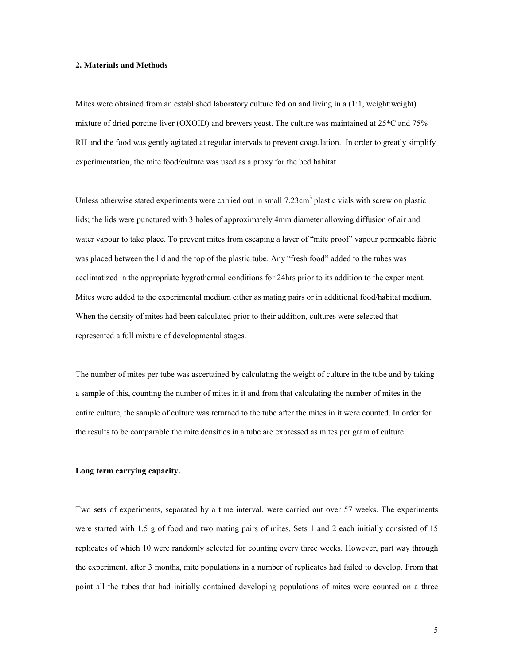# 2. Materials and Methods

Mites were obtained from an established laboratory culture fed on and living in a (1:1, weight:weight) mixture of dried porcine liver (OXOID) and brewers yeast. The culture was maintained at 25\*C and 75% RH and the food was gently agitated at regular intervals to prevent coagulation. In order to greatly simplify experimentation, the mite food/culture was used as a proxy for the bed habitat.

Unless otherwise stated experiments were carried out in small 7.23cm<sup>3</sup> plastic vials with screw on plastic lids; the lids were punctured with 3 holes of approximately 4mm diameter allowing diffusion of air and water vapour to take place. To prevent mites from escaping a layer of "mite proof" vapour permeable fabric was placed between the lid and the top of the plastic tube. Any "fresh food" added to the tubes was acclimatized in the appropriate hygrothermal conditions for 24hrs prior to its addition to the experiment. Mites were added to the experimental medium either as mating pairs or in additional food/habitat medium. When the density of mites had been calculated prior to their addition, cultures were selected that represented a full mixture of developmental stages.

The number of mites per tube was ascertained by calculating the weight of culture in the tube and by taking a sample of this, counting the number of mites in it and from that calculating the number of mites in the entire culture, the sample of culture was returned to the tube after the mites in it were counted. In order for the results to be comparable the mite densities in a tube are expressed as mites per gram of culture.

# Long term carrying capacity.

Two sets of experiments, separated by a time interval, were carried out over 57 weeks. The experiments were started with 1.5 g of food and two mating pairs of mites. Sets 1 and 2 each initially consisted of 15 replicates of which 10 were randomly selected for counting every three weeks. However, part way through the experiment, after 3 months, mite populations in a number of replicates had failed to develop. From that point all the tubes that had initially contained developing populations of mites were counted on a three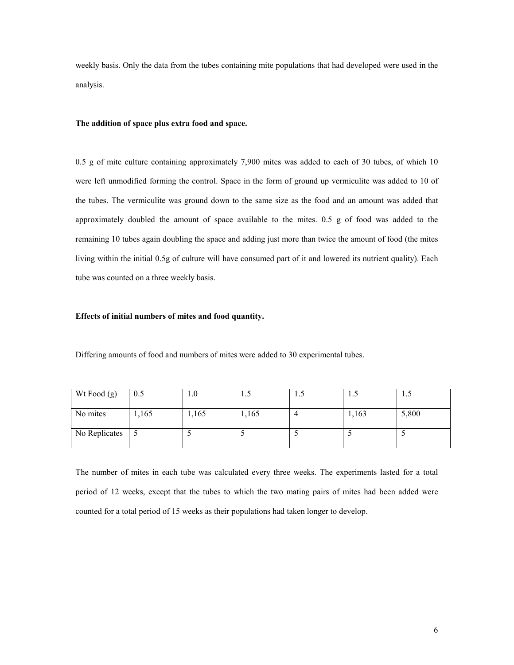weekly basis. Only the data from the tubes containing mite populations that had developed were used in the analysis.

### The addition of space plus extra food and space.

0.5 g of mite culture containing approximately 7,900 mites was added to each of 30 tubes, of which 10 were left unmodified forming the control. Space in the form of ground up vermiculite was added to 10 of the tubes. The vermiculite was ground down to the same size as the food and an amount was added that approximately doubled the amount of space available to the mites. 0.5 g of food was added to the remaining 10 tubes again doubling the space and adding just more than twice the amount of food (the mites living within the initial 0.5g of culture will have consumed part of it and lowered its nutrient quality). Each tube was counted on a three weekly basis.

### Effects of initial numbers of mites and food quantity.

Differing amounts of food and numbers of mites were added to 30 experimental tubes.

| Wt Food (g)   | 0.5  | IJ.U  | 1.J   | 1.7 | $\cdot \cdot$ | ن. 1  |
|---------------|------|-------|-------|-----|---------------|-------|
| No mites      | ,165 | 1,165 | 1,165 |     | 1,163         | 5,800 |
| No Replicates |      |       |       |     |               |       |

The number of mites in each tube was calculated every three weeks. The experiments lasted for a total period of 12 weeks, except that the tubes to which the two mating pairs of mites had been added were counted for a total period of 15 weeks as their populations had taken longer to develop.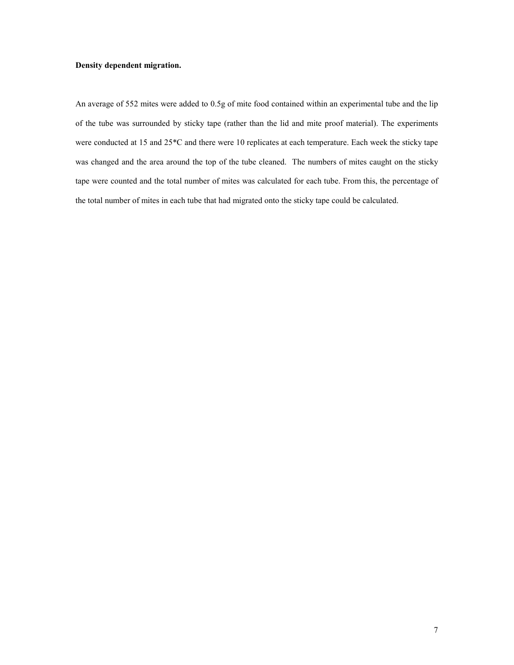# Density dependent migration.

An average of 552 mites were added to 0.5g of mite food contained within an experimental tube and the lip of the tube was surrounded by sticky tape (rather than the lid and mite proof material). The experiments were conducted at 15 and 25\*C and there were 10 replicates at each temperature. Each week the sticky tape was changed and the area around the top of the tube cleaned. The numbers of mites caught on the sticky tape were counted and the total number of mites was calculated for each tube. From this, the percentage of the total number of mites in each tube that had migrated onto the sticky tape could be calculated.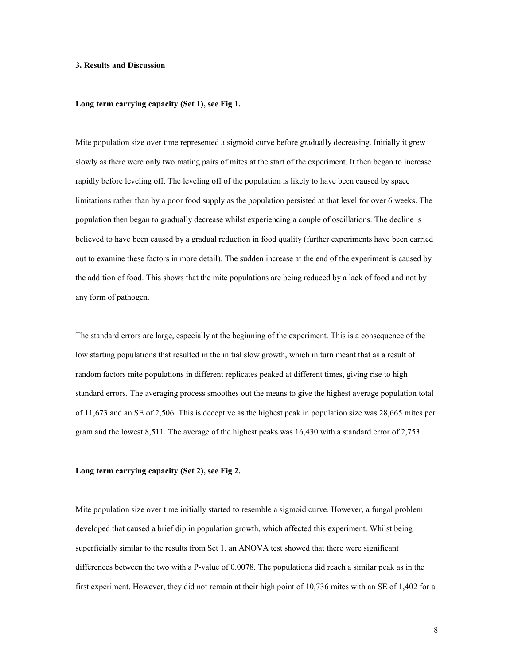### 3. Results and Discussion

### Long term carrying capacity (Set 1), see Fig 1.

Mite population size over time represented a sigmoid curve before gradually decreasing. Initially it grew slowly as there were only two mating pairs of mites at the start of the experiment. It then began to increase rapidly before leveling off. The leveling off of the population is likely to have been caused by space limitations rather than by a poor food supply as the population persisted at that level for over 6 weeks. The population then began to gradually decrease whilst experiencing a couple of oscillations. The decline is believed to have been caused by a gradual reduction in food quality (further experiments have been carried out to examine these factors in more detail). The sudden increase at the end of the experiment is caused by the addition of food. This shows that the mite populations are being reduced by a lack of food and not by any form of pathogen.

The standard errors are large, especially at the beginning of the experiment. This is a consequence of the low starting populations that resulted in the initial slow growth, which in turn meant that as a result of random factors mite populations in different replicates peaked at different times, giving rise to high standard errors. The averaging process smoothes out the means to give the highest average population total of 11,673 and an SE of 2,506. This is deceptive as the highest peak in population size was 28,665 mites per gram and the lowest 8,511. The average of the highest peaks was 16,430 with a standard error of 2,753.

### Long term carrying capacity (Set 2), see Fig 2.

Mite population size over time initially started to resemble a sigmoid curve. However, a fungal problem developed that caused a brief dip in population growth, which affected this experiment. Whilst being superficially similar to the results from Set 1, an ANOVA test showed that there were significant differences between the two with a P-value of 0.0078. The populations did reach a similar peak as in the first experiment. However, they did not remain at their high point of 10,736 mites with an SE of 1,402 for a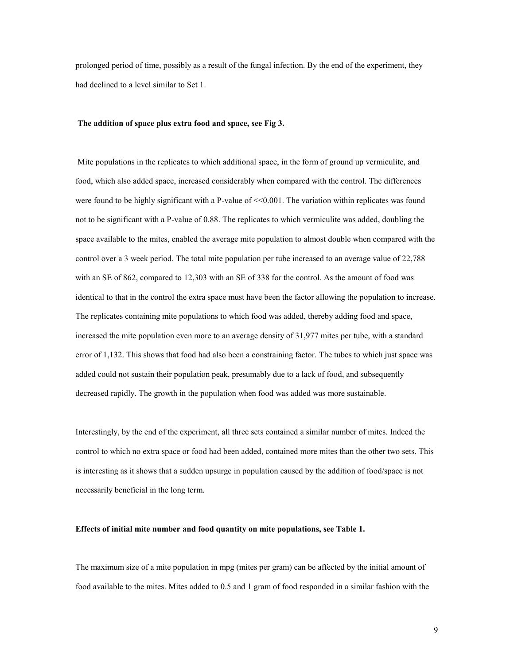prolonged period of time, possibly as a result of the fungal infection. By the end of the experiment, they had declined to a level similar to Set 1.

### The addition of space plus extra food and space, see Fig 3.

Mite populations in the replicates to which additional space, in the form of ground up vermiculite, and food, which also added space, increased considerably when compared with the control. The differences were found to be highly significant with a P-value of  $\leq 0.001$ . The variation within replicates was found not to be significant with a P-value of 0.88. The replicates to which vermiculite was added, doubling the space available to the mites, enabled the average mite population to almost double when compared with the control over a 3 week period. The total mite population per tube increased to an average value of 22,788 with an SE of 862, compared to 12,303 with an SE of 338 for the control. As the amount of food was identical to that in the control the extra space must have been the factor allowing the population to increase. The replicates containing mite populations to which food was added, thereby adding food and space, increased the mite population even more to an average density of 31,977 mites per tube, with a standard error of 1,132. This shows that food had also been a constraining factor. The tubes to which just space was added could not sustain their population peak, presumably due to a lack of food, and subsequently decreased rapidly. The growth in the population when food was added was more sustainable.

Interestingly, by the end of the experiment, all three sets contained a similar number of mites. Indeed the control to which no extra space or food had been added, contained more mites than the other two sets. This is interesting as it shows that a sudden upsurge in population caused by the addition of food/space is not necessarily beneficial in the long term.

### Effects of initial mite number and food quantity on mite populations, see Table 1.

The maximum size of a mite population in mpg (mites per gram) can be affected by the initial amount of food available to the mites. Mites added to 0.5 and 1 gram of food responded in a similar fashion with the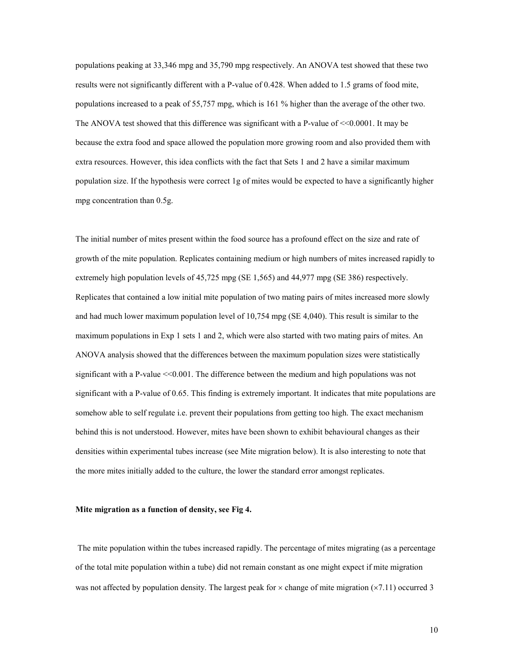populations peaking at 33,346 mpg and 35,790 mpg respectively. An ANOVA test showed that these two results were not significantly different with a P-value of 0.428. When added to 1.5 grams of food mite, populations increased to a peak of 55,757 mpg, which is 161 % higher than the average of the other two. The ANOVA test showed that this difference was significant with a P-value of  $\leq 0.0001$ . It may be because the extra food and space allowed the population more growing room and also provided them with extra resources. However, this idea conflicts with the fact that Sets 1 and 2 have a similar maximum population size. If the hypothesis were correct 1g of mites would be expected to have a significantly higher mpg concentration than 0.5g.

The initial number of mites present within the food source has a profound effect on the size and rate of growth of the mite population. Replicates containing medium or high numbers of mites increased rapidly to extremely high population levels of 45,725 mpg (SE 1,565) and 44,977 mpg (SE 386) respectively. Replicates that contained a low initial mite population of two mating pairs of mites increased more slowly and had much lower maximum population level of 10,754 mpg (SE 4,040). This result is similar to the maximum populations in Exp 1 sets 1 and 2, which were also started with two mating pairs of mites. An ANOVA analysis showed that the differences between the maximum population sizes were statistically significant with a P-value  $\leq 0.001$ . The difference between the medium and high populations was not significant with a P-value of 0.65. This finding is extremely important. It indicates that mite populations are somehow able to self regulate i.e. prevent their populations from getting too high. The exact mechanism behind this is not understood. However, mites have been shown to exhibit behavioural changes as their densities within experimental tubes increase (see Mite migration below). It is also interesting to note that the more mites initially added to the culture, the lower the standard error amongst replicates.

### Mite migration as a function of density, see Fig 4.

 The mite population within the tubes increased rapidly. The percentage of mites migrating (as a percentage of the total mite population within a tube) did not remain constant as one might expect if mite migration was not affected by population density. The largest peak for  $\times$  change of mite migration ( $\times$ 7.11) occurred 3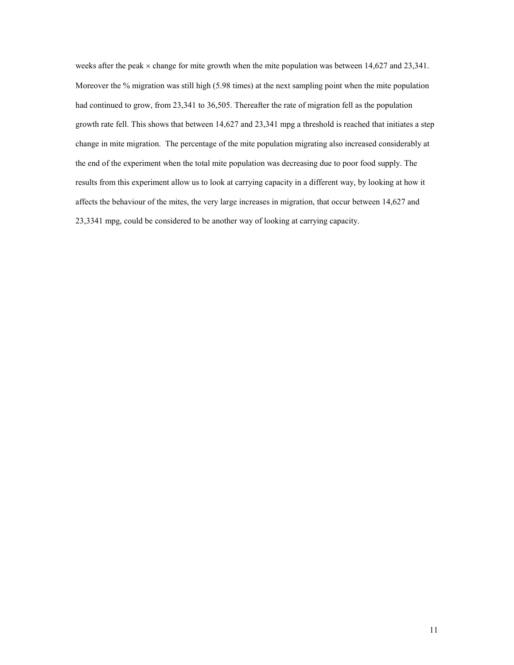weeks after the peak  $\times$  change for mite growth when the mite population was between 14,627 and 23,341. Moreover the % migration was still high (5.98 times) at the next sampling point when the mite population had continued to grow, from 23,341 to 36,505. Thereafter the rate of migration fell as the population growth rate fell. This shows that between 14,627 and 23,341 mpg a threshold is reached that initiates a step change in mite migration. The percentage of the mite population migrating also increased considerably at the end of the experiment when the total mite population was decreasing due to poor food supply. The results from this experiment allow us to look at carrying capacity in a different way, by looking at how it affects the behaviour of the mites, the very large increases in migration, that occur between 14,627 and 23,3341 mpg, could be considered to be another way of looking at carrying capacity.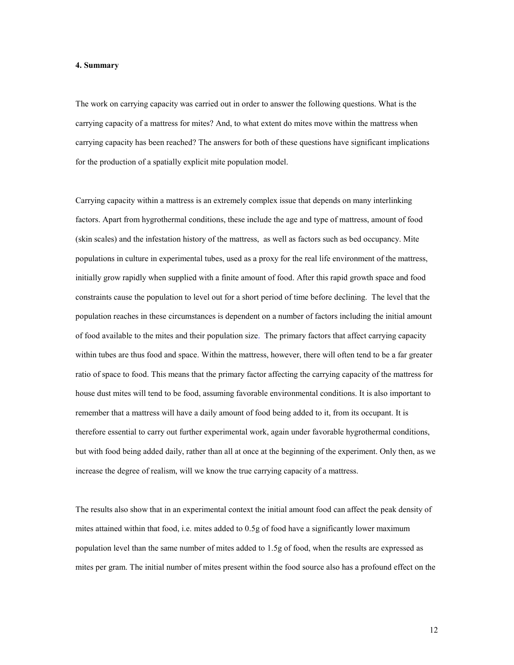#### 4. Summary

The work on carrying capacity was carried out in order to answer the following questions. What is the carrying capacity of a mattress for mites? And, to what extent do mites move within the mattress when carrying capacity has been reached? The answers for both of these questions have significant implications for the production of a spatially explicit mite population model.

Carrying capacity within a mattress is an extremely complex issue that depends on many interlinking factors. Apart from hygrothermal conditions, these include the age and type of mattress, amount of food (skin scales) and the infestation history of the mattress, as well as factors such as bed occupancy. Mite populations in culture in experimental tubes, used as a proxy for the real life environment of the mattress, initially grow rapidly when supplied with a finite amount of food. After this rapid growth space and food constraints cause the population to level out for a short period of time before declining. The level that the population reaches in these circumstances is dependent on a number of factors including the initial amount of food available to the mites and their population size. The primary factors that affect carrying capacity within tubes are thus food and space. Within the mattress, however, there will often tend to be a far greater ratio of space to food. This means that the primary factor affecting the carrying capacity of the mattress for house dust mites will tend to be food, assuming favorable environmental conditions. It is also important to remember that a mattress will have a daily amount of food being added to it, from its occupant. It is therefore essential to carry out further experimental work, again under favorable hygrothermal conditions, but with food being added daily, rather than all at once at the beginning of the experiment. Only then, as we increase the degree of realism, will we know the true carrying capacity of a mattress.

The results also show that in an experimental context the initial amount food can affect the peak density of mites attained within that food, i.e. mites added to 0.5g of food have a significantly lower maximum population level than the same number of mites added to 1.5g of food, when the results are expressed as mites per gram. The initial number of mites present within the food source also has a profound effect on the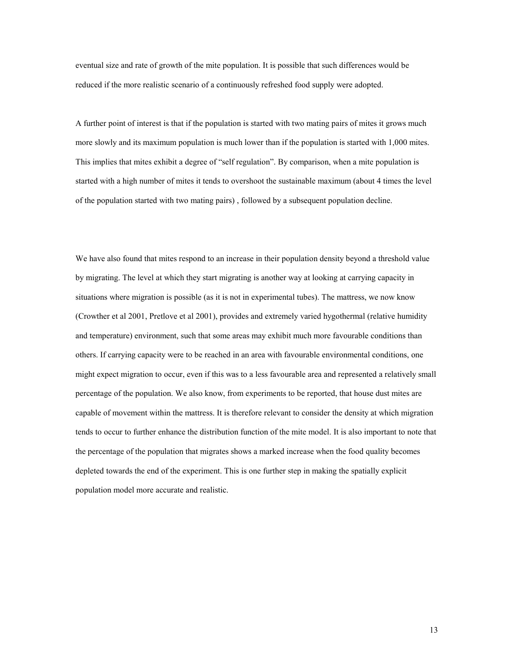eventual size and rate of growth of the mite population. It is possible that such differences would be reduced if the more realistic scenario of a continuously refreshed food supply were adopted.

A further point of interest is that if the population is started with two mating pairs of mites it grows much more slowly and its maximum population is much lower than if the population is started with 1,000 mites. This implies that mites exhibit a degree of "self regulation". By comparison, when a mite population is started with a high number of mites it tends to overshoot the sustainable maximum (about 4 times the level of the population started with two mating pairs) , followed by a subsequent population decline.

We have also found that mites respond to an increase in their population density beyond a threshold value by migrating. The level at which they start migrating is another way at looking at carrying capacity in situations where migration is possible (as it is not in experimental tubes). The mattress, we now know (Crowther et al 2001, Pretlove et al 2001), provides and extremely varied hygothermal (relative humidity and temperature) environment, such that some areas may exhibit much more favourable conditions than others. If carrying capacity were to be reached in an area with favourable environmental conditions, one might expect migration to occur, even if this was to a less favourable area and represented a relatively small percentage of the population. We also know, from experiments to be reported, that house dust mites are capable of movement within the mattress. It is therefore relevant to consider the density at which migration tends to occur to further enhance the distribution function of the mite model. It is also important to note that the percentage of the population that migrates shows a marked increase when the food quality becomes depleted towards the end of the experiment. This is one further step in making the spatially explicit population model more accurate and realistic.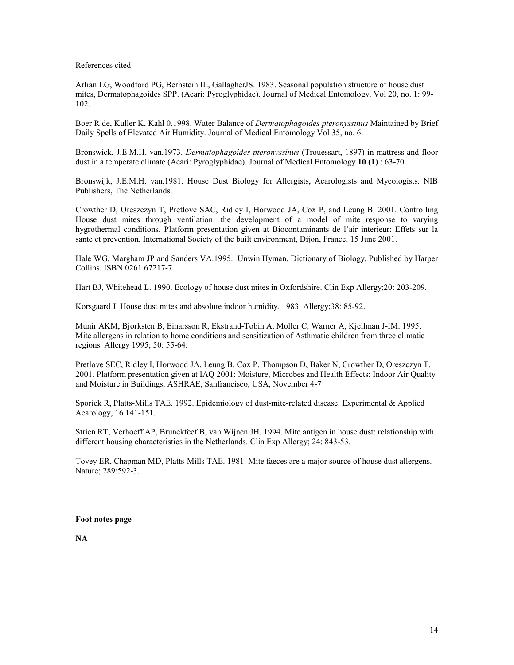References cited

Arlian LG, Woodford PG, Bernstein IL, GallagherJS. 1983. Seasonal population structure of house dust mites, Dermatophagoides SPP. (Acari: Pyroglyphidae). Journal of Medical Entomology. Vol 20, no. 1: 99- 102.

Boer R de, Kuller K, Kahl 0.1998. Water Balance of *Dermatophagoides pteronyssinus* Maintained by Brief Daily Spells of Elevated Air Humidity. Journal of Medical Entomology Vol 35, no. 6.

Bronswick, J.E.M.H. van.1973. Dermatophagoides pteronyssinus (Trouessart, 1897) in mattress and floor dust in a temperate climate (Acari: Pyroglyphidae). Journal of Medical Entomology 10 (1) : 63-70.

Bronswijk, J.E.M.H. van.1981. House Dust Biology for Allergists, Acarologists and Mycologists. NIB Publishers, The Netherlands.

Crowther D, Oreszczyn T, Pretlove SAC, Ridley I, Horwood JA, Cox P, and Leung B. 2001. Controlling House dust mites through ventilation: the development of a model of mite response to varying hygrothermal conditions. Platform presentation given at Biocontaminants de l'air interieur: Effets sur la sante et prevention, International Society of the built environment, Dijon, France, 15 June 2001.

Hale WG, Margham JP and Sanders VA.1995. Unwin Hyman, Dictionary of Biology, Published by Harper Collins. ISBN 0261 67217-7.

Hart BJ, Whitehead L. 1990. Ecology of house dust mites in Oxfordshire. Clin Exp Allergy;20: 203-209.

Korsgaard J. House dust mites and absolute indoor humidity. 1983. Allergy;38: 85-92.

Munir AKM, Bjorksten B, Einarsson R, Ekstrand-Tobin A, Moller C, Warner A, Kjellman J-IM. 1995. Mite allergens in relation to home conditions and sensitization of Asthmatic children from three climatic regions. Allergy 1995; 50: 55-64.

Pretlove SEC, Ridley I, Horwood JA, Leung B, Cox P, Thompson D, Baker N, Crowther D, Oreszczyn T. 2001. Platform presentation given at IAQ 2001: Moisture, Microbes and Health Effects: Indoor Air Quality and Moisture in Buildings, ASHRAE, Sanfrancisco, USA, November 4-7

Sporick R, Platts-Mills TAE. 1992. Epidemiology of dust-mite-related disease. Experimental & Applied Acarology, 16 141-151.

Strien RT, Verhoeff AP, Brunekfeef B, van Wijnen JH. 1994. Mite antigen in house dust: relationship with different housing characteristics in the Netherlands. Clin Exp Allergy; 24: 843-53.

Tovey ER, Chapman MD, Platts-Mills TAE. 1981. Mite faeces are a major source of house dust allergens. Nature; 289:592-3.

Foot notes page

NA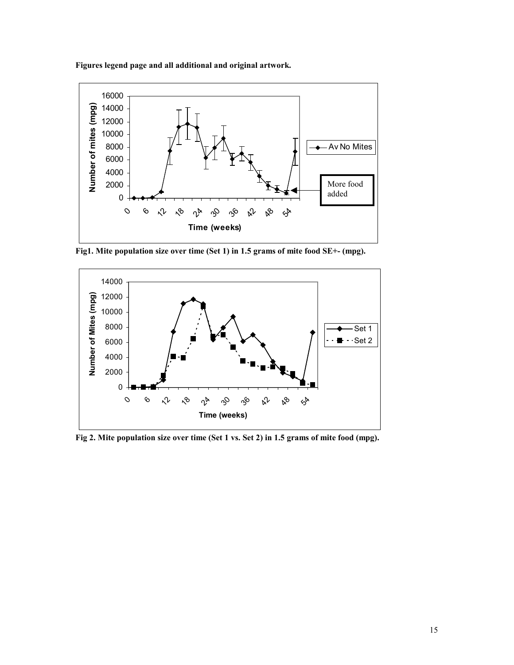Figures legend page and all additional and original artwork.



Fig1. Mite population size over time (Set 1) in 1.5 grams of mite food SE+- (mpg).



Fig 2. Mite population size over time (Set 1 vs. Set 2) in 1.5 grams of mite food (mpg).